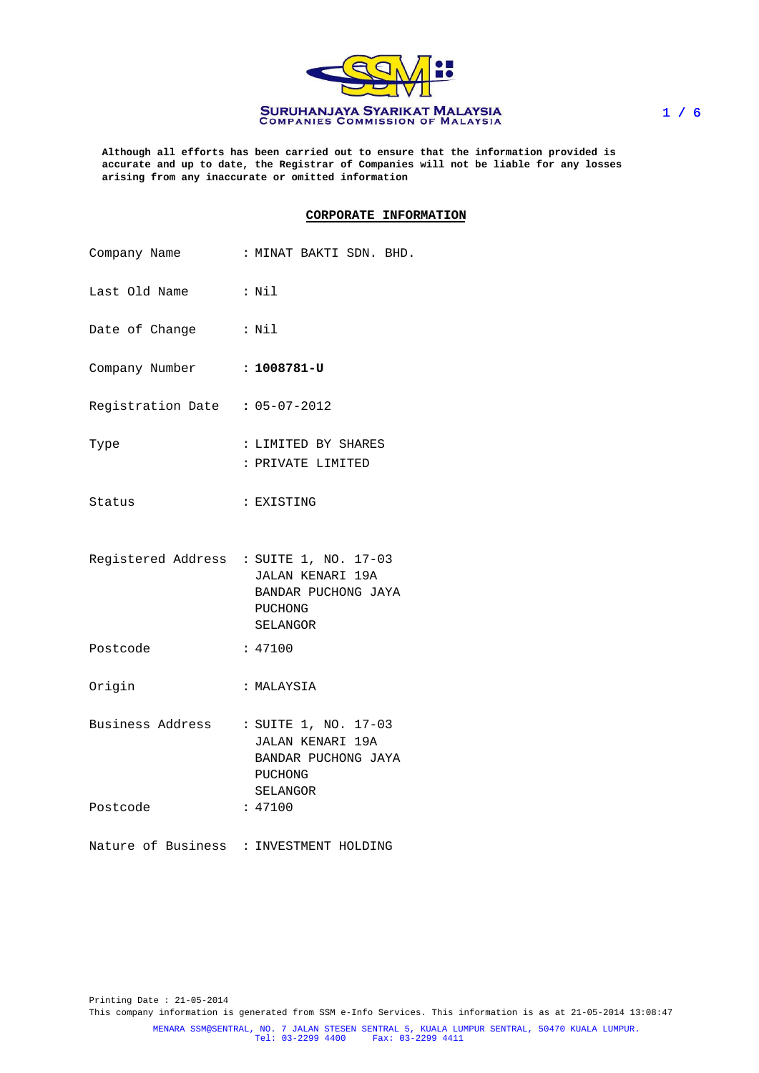

**Although all efforts has been carried out to ensure that the information provided is accurate and up to date, the Registrar of Companies will not be liable for any losses arising from any inaccurate or omitted information**

### **CORPORATE INFORMATION**

| Company Name                   | : MINAT BAKTI SDN. BHD.                                                                                   |
|--------------------------------|-----------------------------------------------------------------------------------------------------------|
| Last Old Name : Nil            |                                                                                                           |
| Date of Change                 | $:$ Nil                                                                                                   |
| Company Number : 1008781-U     |                                                                                                           |
| Registration Date : 05-07-2012 |                                                                                                           |
| Type                           | : LIMITED BY SHARES<br>: PRIVATE LIMITED                                                                  |
| Status                         | : EXISTING                                                                                                |
|                                | Registered Address : SUITE 1, NO. 17-03<br>JALAN KENARI 19A<br>BANDAR PUCHONG JAYA<br>PUCHONG<br>SELANGOR |
| Postcode                       | : 47100                                                                                                   |
| Origin                         | : MALAYSIA                                                                                                |
|                                | Business Address : SUITE 1, NO. 17-03<br>JALAN KENARI 19A<br>BANDAR PUCHONG JAYA<br>PUCHONG<br>SELANGOR   |
| Postcode                       | : 47100                                                                                                   |
|                                | Nature of Business : INVESTMENT HOLDING                                                                   |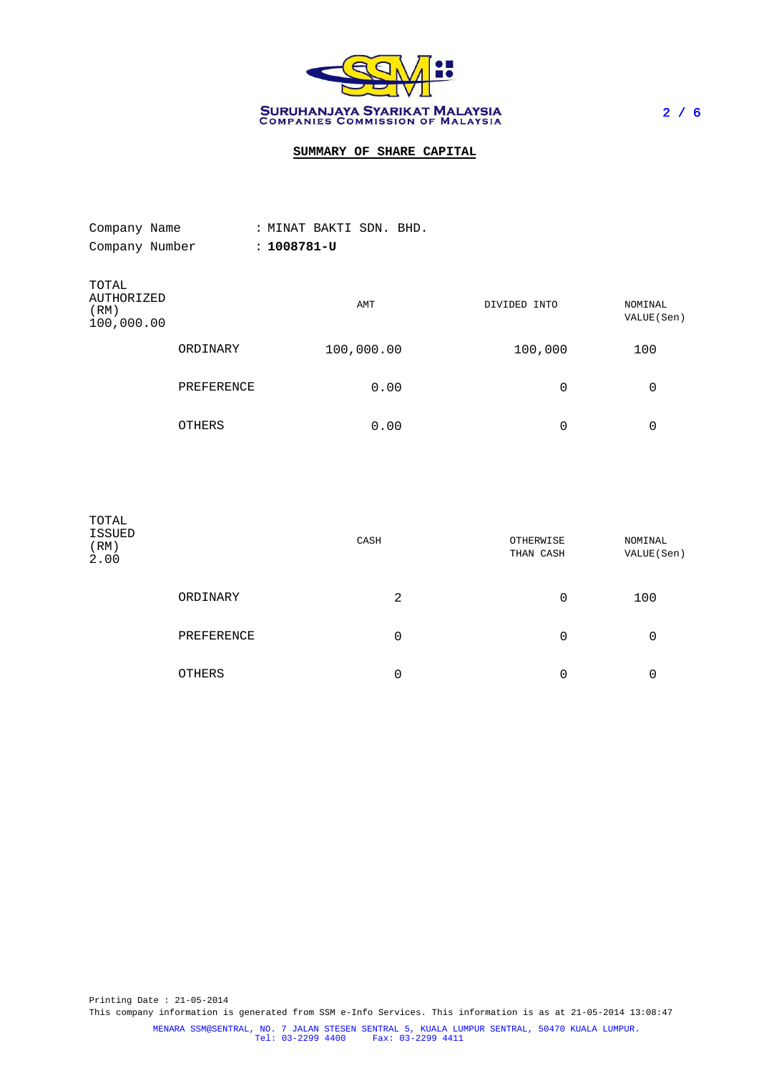

# **SUMMARY OF SHARE CAPITAL**

| Company Name                              |               | : MINAT BAKTI SDN. BHD. |              |                        |
|-------------------------------------------|---------------|-------------------------|--------------|------------------------|
| Company Number                            |               | $: 1008781 - U$         |              |                        |
| TOTAL<br>AUTHORIZED<br>(RM)<br>100,000.00 |               | AMT                     | DIVIDED INTO | NOMINAL<br>VALUE (Sen) |
|                                           | ORDINARY      | 100,000.00              | 100,000      | 100                    |
|                                           | PREFERENCE    | 0.00                    |              | 0<br>0                 |
|                                           | <b>OTHERS</b> | 0.00                    |              | 0<br>0                 |

| TOTAL<br>ISSUED<br>(RM)<br>2.00 |            | CASH | OTHERWISE<br>THAN CASH | NOMINAL<br>VALUE(Sen) |
|---------------------------------|------------|------|------------------------|-----------------------|
|                                 | ORDINARY   | 2    | 0                      | 100                   |
|                                 | PREFERENCE | 0    | 0                      | 0                     |
|                                 | OTHERS     | 0    | 0                      | 0                     |

Printing Date : 21-05-2014 This company information is generated from SSM e-Info Services. This information is as at 21-05-2014 13:08:47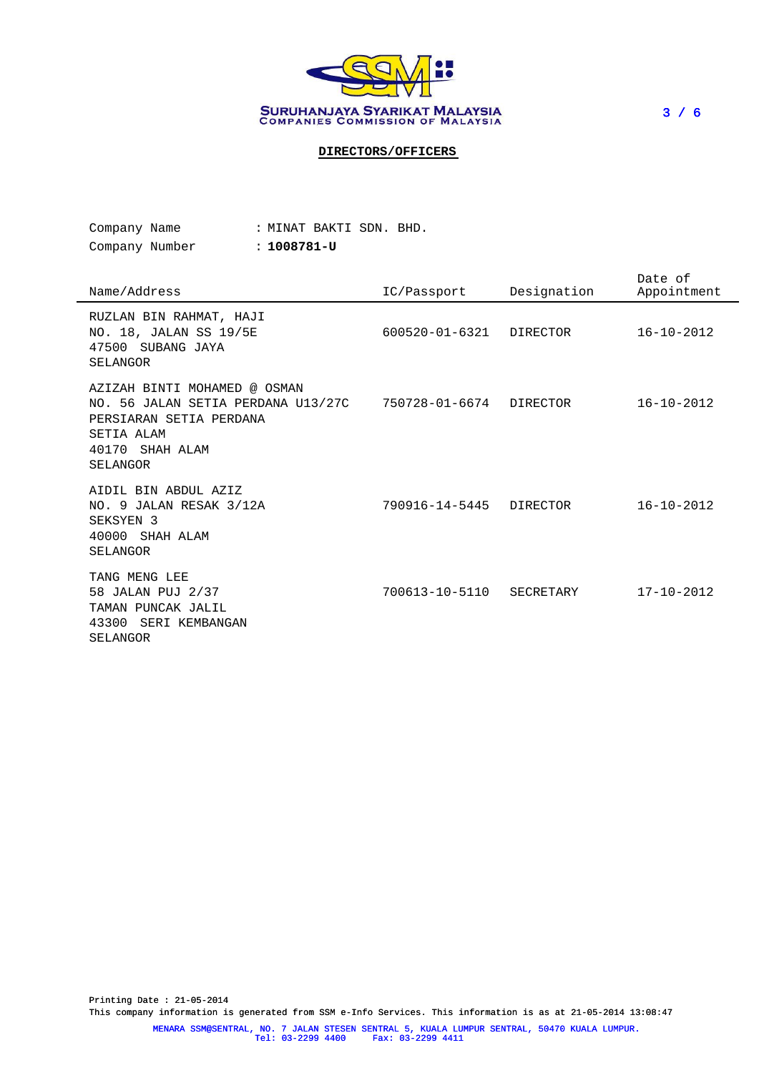

3 / 6

# **DIRECTORS/OFFICERS**

| Company Name   |  | : MINAT BAKTI SDN. BHD. |  |  |
|----------------|--|-------------------------|--|--|
| Company Number |  | : 1008781-U             |  |  |

| Company Number | : 1008781- |
|----------------|------------|
|----------------|------------|

| Name/Address                                                                                                                                  | IC/Passport          | Designation | Date of<br>Appointment |
|-----------------------------------------------------------------------------------------------------------------------------------------------|----------------------|-------------|------------------------|
| RUZLAN BIN RAHMAT, HAJI<br>NO. 18, JALAN SS 19/5E<br>47500 SUBANG JAYA<br>SELANGOR                                                            | $600520 - 01 - 6321$ | DIRECTOR    | $16 - 10 - 2012$       |
| AZIZAH BINTI MOHAMED @ OSMAN<br>NO. 56 JALAN SETIA PERDANA U13/27C<br>PERSIARAN SETIA PERDANA<br>SETIA ALAM<br>40170<br>SHAH ALAM<br>SELANGOR | 750728-01-6674       | DIRECTOR    | $16 - 10 - 2012$       |
| AIDIL BIN ABDUL AZIZ<br>NO. 9 JALAN RESAK 3/12A<br>SEKSYEN <sub>3</sub><br>40000 SHAH ALAM<br>SELANGOR                                        | 790916-14-5445       | DIRECTOR    | $16 - 10 - 2012$       |
| TANG MENG LEE<br>58 JALAN PUJ 2/37<br>TAMAN PUNCAK JALIL<br>43300<br>SERI KEMBANGAN<br>SELANGOR                                               | 700613-10-5110       | SECRETARY   | $17 - 10 - 2012$       |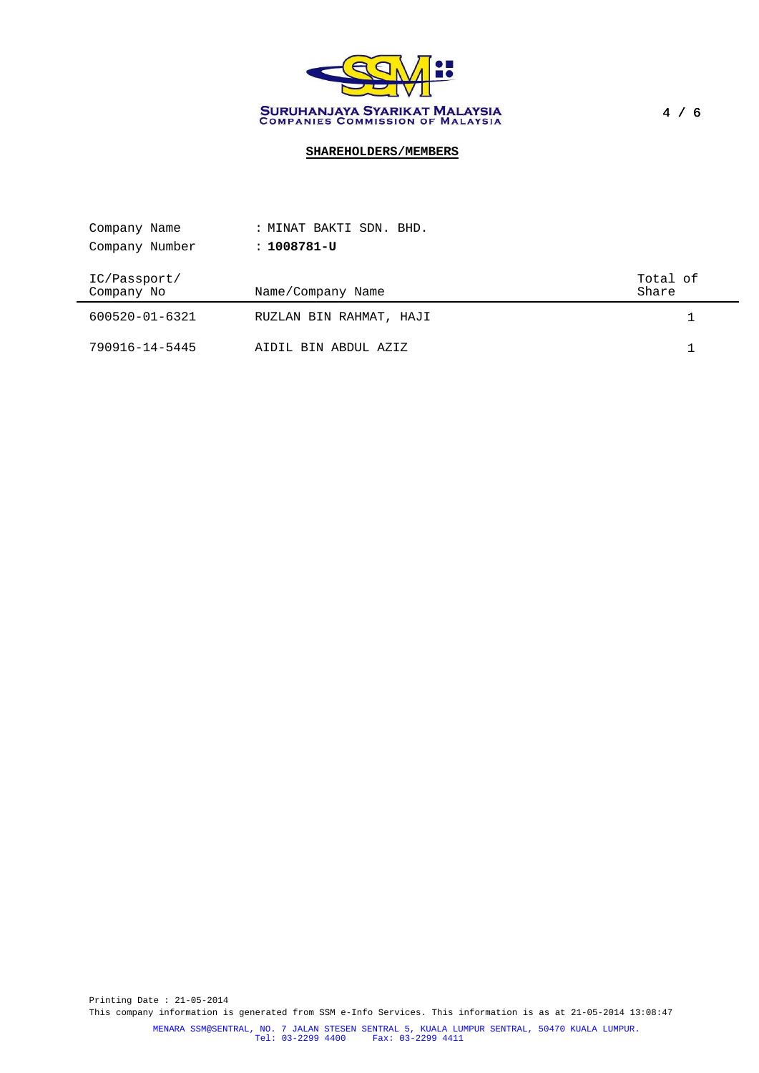

# **SHAREHOLDERS/MEMBERS**

| Company Name               | : MINAT BAKTI SDN. BHD. |                   |
|----------------------------|-------------------------|-------------------|
| Company Number             | : 1008781-U             |                   |
| IC/Passport/<br>Company No | Name/Company Name       | Total of<br>Share |
| 600520-01-6321             | RUZLAN BIN RAHMAT, HAJI |                   |
| 790916-14-5445             | AIDIL BIN ABDUL AZIZ    |                   |

Printing Date : 21-05-2014 This company information is generated from SSM e-Info Services. This information is as at 21-05-2014 13:08:47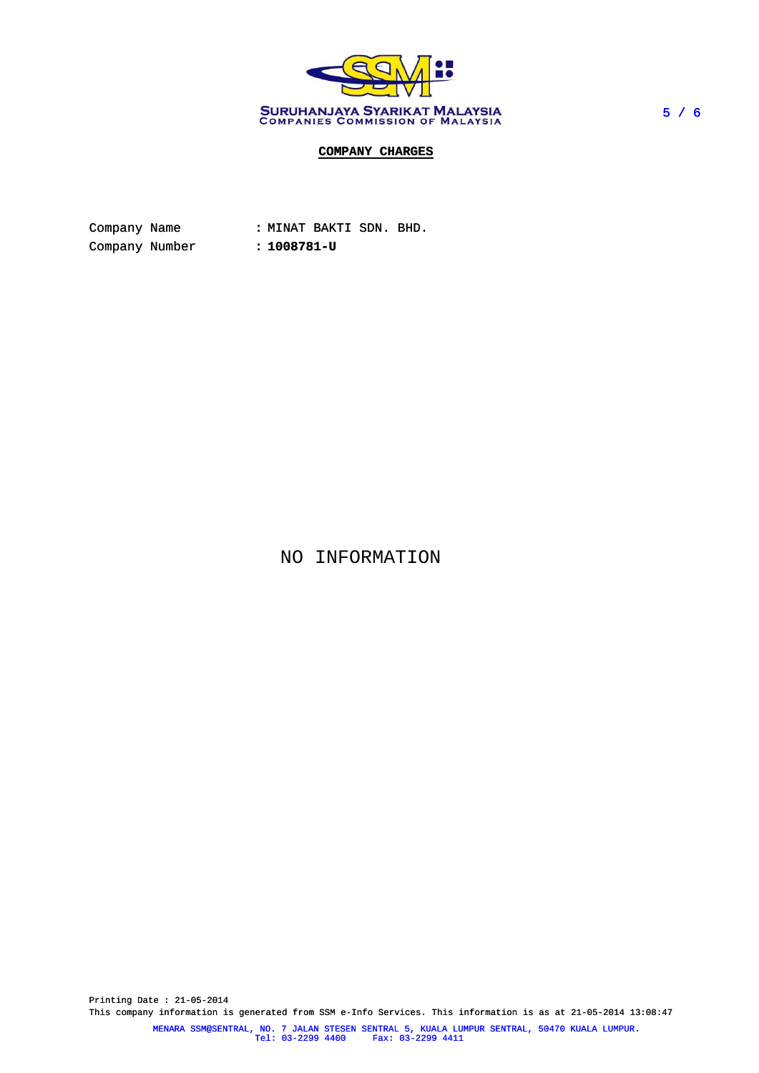

## **COMPANY CHARGES**

Company Name : MINAT BAKTI SDN. BHD. Company Number : **1008781-U**

NO INFORMATION